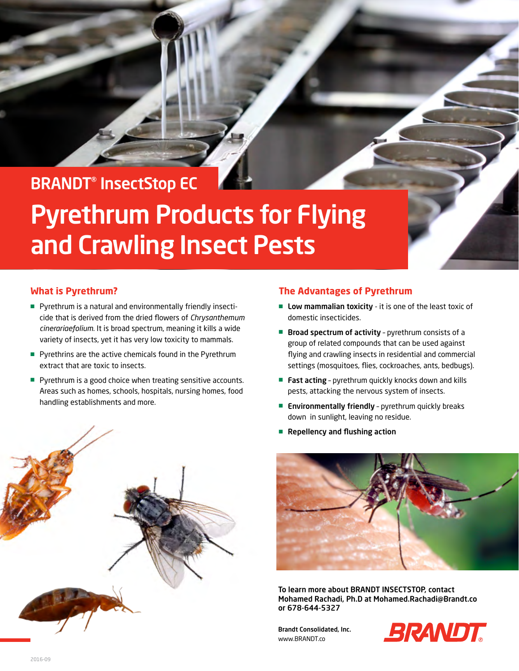# BRANDT® InsectStop EC

# Pyrethrum Products for Flying and Crawling Insect Pests

## **What is Pyrethrum?**

- Pyrethrum is a natural and environmentally friendly insecticide that is derived from the dried flowers of *Chrysanthemum cinerariaefolium*. It is broad spectrum, meaning it kills a wide variety of insects, yet it has very low toxicity to mammals.
- Pyrethrins are the active chemicals found in the Pyrethrum extract that are toxic to insects.
- Pyrethrum is a good choice when treating sensitive accounts. Areas such as homes, schools, hospitals, nursing homes, food handling establishments and more.



## **The Advantages of Pyrethrum**

- Low mammalian toxicity it is one of the least toxic of domestic insecticides.
- Broad spectrum of activity pyrethrum consists of a group of related compounds that can be used against flying and crawling insects in residential and commercial settings (mosquitoes, flies, cockroaches, ants, bedbugs).
- Fast acting pyrethrum quickly knocks down and kills pests, attacking the nervous system of insects.
- Environmentally friendly pyrethrum quickly breaks down in sunlight, leaving no residue.
- Repellency and flushing action



To learn more about BRANDT INSECTSTOP, contact Mohamed Rachadi, Ph.D at Mohamed.Rachadi@Brandt.co or 678-644-5327

Brandt Consolidated, Inc. WWW.BRANDT.co